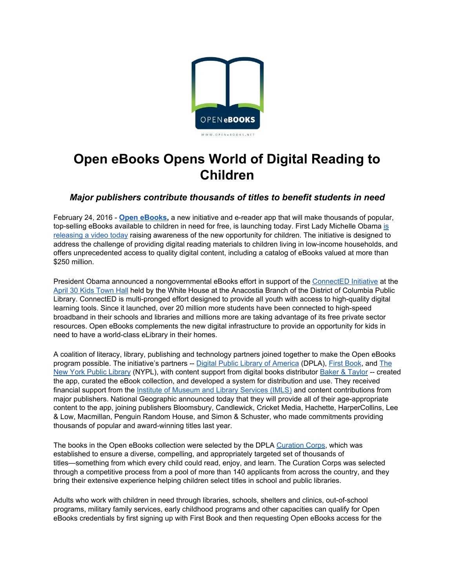

# **Open eBooks Opens World of Digital Reading to Children**

# *Major publishers contribute thousands of titles to benefit students in need*

February 24, 2016 **Open [eBooks](http://openebooks.net/),** a new initiative and ereader app that will make thousands of popular, top-selling eBooks available to children in need for free, [is](https://www.whitehouse.gov/blog/2016/02/23/now-available-library-opportunity) launching today. First Lady Michelle Obama is [releasing](https://www.whitehouse.gov/blog/2016/02/23/now-available-library-opportunity) a video today raising awareness of the new opportunity for children. The initiative is designed to address the challenge of providing digital reading materials to children living in low-income households, and offers unprecedented access to quality digital content, including a catalog of eBooks valued at more than \$250 million.

President Obama announced a nongovernmental eBooks effort in support of the [ConnectED](https://www.whitehouse.gov/issues/education/k-12/connected) Initiative at the April 30 Kids [Town](https://www.whitehouse.gov/the-press-office/2015/04/30/fact-sheet-spreading-joy-reading-more-children-and-young-adults) Hall held by the White House at the Anacostia Branch of the District of Columbia Public Library. ConnectED is multi-pronged effort designed to provide all youth with access to high-quality digital learning tools. Since it launched, over 20 million more students have been connected to high-speed broadband in their schools and libraries and millions more are taking advantage of its free private sector resources. Open eBooks complements the new digital infrastructure to provide an opportunity for kids in need to have a world-class eLibrary in their homes.

A coalition of literacy, library, publishing and technology partners joined together to make the Open eBooks program possible. The initiative's partners -- Digital Public Library of [America](http://dp.la/) (DPLA), First [Book,](http://www.firstbook.org/) and [The](http://nypl.org/) New York Public [Library](http://nypl.org/) (NYPL), with content support from digital books distributor Baker & [Taylor](http://www.baker-taylor.com/) -- created the app, curated the eBook collection, and developed a system for distribution and use. They received financial support from the Institute of Museum and Library [Services](https://www.imls.gov/) (IMLS) and content contributions from major publishers. National Geographic announced today that they will provide all of their age-appropriate content to the app, joining publishers Bloomsbury, Candlewick, Cricket Media, Hachette, HarperCollins, Lee & Low, Macmillan, Penguin Random House, and Simon & Schuster, who made commitments providing thousands of popular and award-winning titles last year.

The books in the Open eBooks collection were selected by the DPLA [Curation](http://dp.la/info/get-involved/dpla-ebooks/dpla-collection-curation-corps/) Corps, which was established to ensure a diverse, compelling, and appropriately targeted set of thousands of titles—something from which every child could read, enjoy, and learn. The Curation Corps was selected through a competitive process from a pool of more than 140 applicants from across the country, and they bring their extensive experience helping children select titles in school and public libraries.

Adults who work with children in need through libraries, schools, shelters and clinics, out-of-school programs, military family services, early childhood programs and other capacities can qualify for Open eBooks credentials by first signing up with First Book and then requesting Open eBooks access for the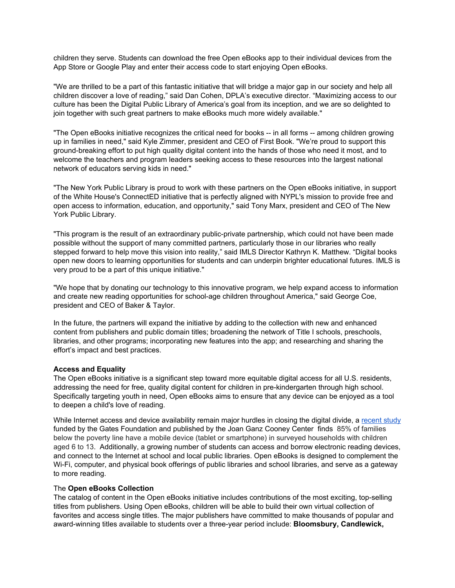children they serve. Students can download the free Open eBooks app to their individual devices from the App Store or Google Play and enter their access code to start enjoying Open eBooks.

"We are thrilled to be a part of this fantastic initiative that will bridge a major gap in our society and help all children discover a love of reading," said Dan Cohen, DPLA's executive director. "Maximizing access to our culture has been the Digital Public Library of America's goal from its inception, and we are so delighted to join together with such great partners to make eBooks much more widely available."

"The Open eBooks initiative recognizes the critical need for books -- in all forms -- among children growing up in families in need," said Kyle Zimmer, president and CEO of First Book. "We're proud to support this ground-breaking effort to put high quality digital content into the hands of those who need it most, and to welcome the teachers and program leaders seeking access to these resources into the largest national network of educators serving kids in need."

"The New York Public Library is proud to work with these partners on the Open eBooks initiative, in support of the White House's ConnectED initiative that is perfectly aligned with NYPL's mission to provide free and open access to information, education, and opportunity," said Tony Marx, president and CEO of The New York Public Library.

"This program is the result of an extraordinary public-private partnership, which could not have been made possible without the support of many committed partners, particularly those in our libraries who really stepped forward to help move this vision into reality," said IMLS Director Kathryn K. Matthew. "Digital books open new doors to learning opportunities for students and can underpin brighter educational futures. IMLS is very proud to be a part of this unique initiative."

"We hope that by donating our technology to this innovative program, we help expand access to information and create new reading opportunities for school-age children throughout America," said George Coe, president and CEO of Baker & Taylor.

In the future, the partners will expand the initiative by adding to the collection with new and enhanced content from publishers and public domain titles; broadening the network of Title I schools, preschools, libraries, and other programs; incorporating new features into the app; and researching and sharing the effort's impact and best practices.

#### **Access and Equality**

The Open eBooks initiative is a significant step toward more equitable digital access for all U.S. residents, addressing the need for free, quality digital content for children in pre-kindergarten through high school. Specifically targeting youth in need, Open eBooks aims to ensure that any device can be enjoyed as a tool to deepen a child's love of reading.

While Internet access and device availability remain major hurdles in closing the digital divide, a [recent](http://www.joanganzcooneycenter.org/wp-content/uploads/2016/01/jgcc_opportunityforall.pdf) study funded by the Gates Foundation and published by the Joan Ganz Cooney Center finds 85% of families below the poverty line have a mobile device (tablet or smartphone) in surveyed households with children aged 6 to 13. Additionally, a growing number of students can access and borrow electronic reading devices, and connect to the Internet at school and local public libraries. Open eBooks is designed to complement the Wi-Fi, computer, and physical book offerings of public libraries and school libraries, and serve as a gateway to more reading.

#### The **Open eBooks Collection**

The catalog of content in the Open eBooks initiative includes contributions of the most exciting, top-selling titles from publishers. Using Open eBooks, children will be able to build their own virtual collection of favorites and access single titles. The major publishers have committed to make thousands of popular and award-winning titles available to students over a three-year period include: **Bloomsbury, Candlewick,**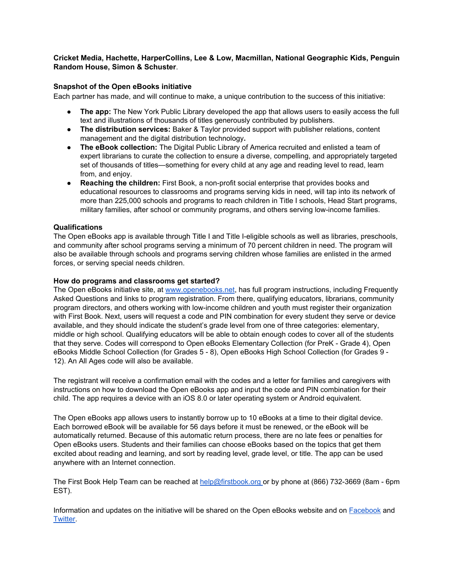# **Cricket Media, Hachette, HarperCollins, Lee & Low, Macmillan, National Geographic Kids, Penguin Random House, Simon & Schuster**.

# **Snapshot of the Open eBooks initiative**

Each partner has made, and will continue to make, a unique contribution to the success of this initiative:

- **The app:** The New York Public Library developed the app that allows users to easily access the full text and illustrations of thousands of titles generously contributed by publishers.
- **The distribution services:** Baker & Taylor provided support with publisher relations, content management and the digital distribution technology**.**
- **The eBook collection:** The Digital Public Library of America recruited and enlisted a team of expert librarians to curate the collection to ensure a diverse, compelling, and appropriately targeted set of thousands of titles—something for every child at any age and reading level to read, learn from, and enjoy.
- **Reaching the children:** First Book, a non-profit social enterprise that provides books and educational resources to classrooms and programs serving kids in need, will tap into its network of more than 225,000 schools and programs to reach children in Title I schools, Head Start programs, military families, after school or community programs, and others serving low-income families.

#### **Qualifications**

The Open eBooks app is available through Title I and Title I-eligible schools as well as libraries, preschools, and community after school programs serving a minimum of 70 percent children in need. The program will also be available through schools and programs serving children whose families are enlisted in the armed forces, or serving special needs children.

#### **How do programs and classrooms get started?**

The Open eBooks initiative site, at [www.openebooks.net,](http://www.openebooks.net/) has full program instructions, including Frequently Asked Questions and links to program registration. From there, qualifying educators, librarians, community program directors, and others working with lowincome children and youth must register their organization with First Book. Next, users will request a code and PIN combination for every student they serve or device available, and they should indicate the student's grade level from one of three categories: elementary, middle or high school. Qualifying educators will be able to obtain enough codes to cover all of the students that they serve. Codes will correspond to Open eBooks Elementary Collection (for PreK - Grade 4), Open eBooks Middle School Collection (for Grades 5 - 8), Open eBooks High School Collection (for Grades 9 -12). An All Ages code will also be available.

The registrant will receive a confirmation email with the codes and a letter for families and caregivers with instructions on how to download the Open eBooks app and input the code and PIN combination for their child. The app requires a device with an iOS 8.0 or later operating system or Android equivalent.

The Open eBooks app allows users to instantly borrow up to 10 eBooks at a time to their digital device. Each borrowed eBook will be available for 56 days before it must be renewed, or the eBook will be automatically returned. Because of this automatic return process, there are no late fees or penalties for Open eBooks users. Students and their families can choose eBooks based on the topics that get them excited about reading and learning, and sort by reading level, grade level, or title. The app can be used anywhere with an Internet connection.

The First Book Help Team can be reached at [help@firstbook.org](http://team/) or by phone at (866) 732-3669 (8am - 6pm EST).

Information and updates on the initiative will be shared on the Open eBooks website and on **[Facebook](https://www.facebook.com/openebooksapp)** and [Twitter](https://twitter.com/openEbks).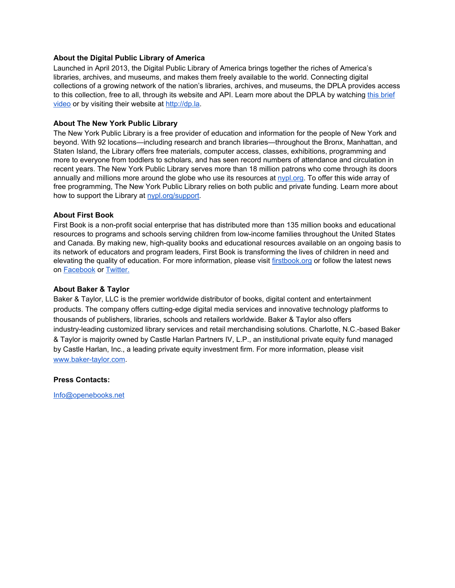#### **About the Digital Public Library of America**

Launched in April 2013, the Digital Public Library of America brings together the riches of America's libraries, archives, and museums, and makes them freely available to the world. Connecting digital collections of a growing network of the nation's libraries, archives, and museums, the DPLA provides access to this collection, free to all, through its website and API. Learn more about the DPLA by watching this [brief](https://youtu.be/m0ngLBa4ewM) [video](https://youtu.be/m0ngLBa4ewM) or by visiting their website at [http://dp.la.](http://dp.la/)

#### **About The New York Public Library**

The New York Public Library is a free provider of education and information for the people of New York and beyond. With 92 locations—including research and branch libraries—throughout the Bronx, Manhattan, and Staten Island, the Library offers free materials, computer access, classes, exhibitions, programming and more to everyone from toddlers to scholars, and has seen record numbers of attendance and circulation in recent years. The New York Public Library serves more than 18 million patrons who come through its doors annually and millions more around [t](http://nypl.org/)he globe who use its resources at [nypl.org.](http://nypl.org/) To offer this wide array of free programming, The New York Public Library relies on both public and private funding. Learn more about how to support the Library at [nypl.org/support.](http://nypl.org/support)

# **About First Book**

First Book is a non-profit social enterprise that has distributed more than 135 million books and educational resources to programs and schools serving children from low-income families throughout the United States and Canada. By making new, high-quality books and educational resources available on an ongoing basis to its network of educators and program leaders, First Book is transforming the lives of children in need and elevating the quality of education. For more information, please visit [firstbook.org](http://www.firstbook.org/) or follow the latest news on [Facebook](https://www.facebook.com/FirstBook) or [Twitter.](http://twitter.com/firstbook)

# **About Baker & Taylor**

Baker & Taylor, LLC is the premier worldwide distributor of books, digital content and entertainment products. The company offers cutting-edge digital media services and innovative technology platforms to thousands of publishers, libraries, schools and retailers worldwide. Baker & Taylor also offers industry-leading customized library services and retail merchandising solutions. Charlotte, N.C.-based Baker & Taylor is majority owned by Castle Harlan Partners IV, L.P., an institutional private equity fund managed by Castle Harlan, Inc., a leading private equity investment firm. For more information, please visi[t](http://www.baker-taylor.com/) www.baker-taylor.com.

#### **Press Contacts:**

[Info@openebooks.net](mailto:Info@openebooks.net)